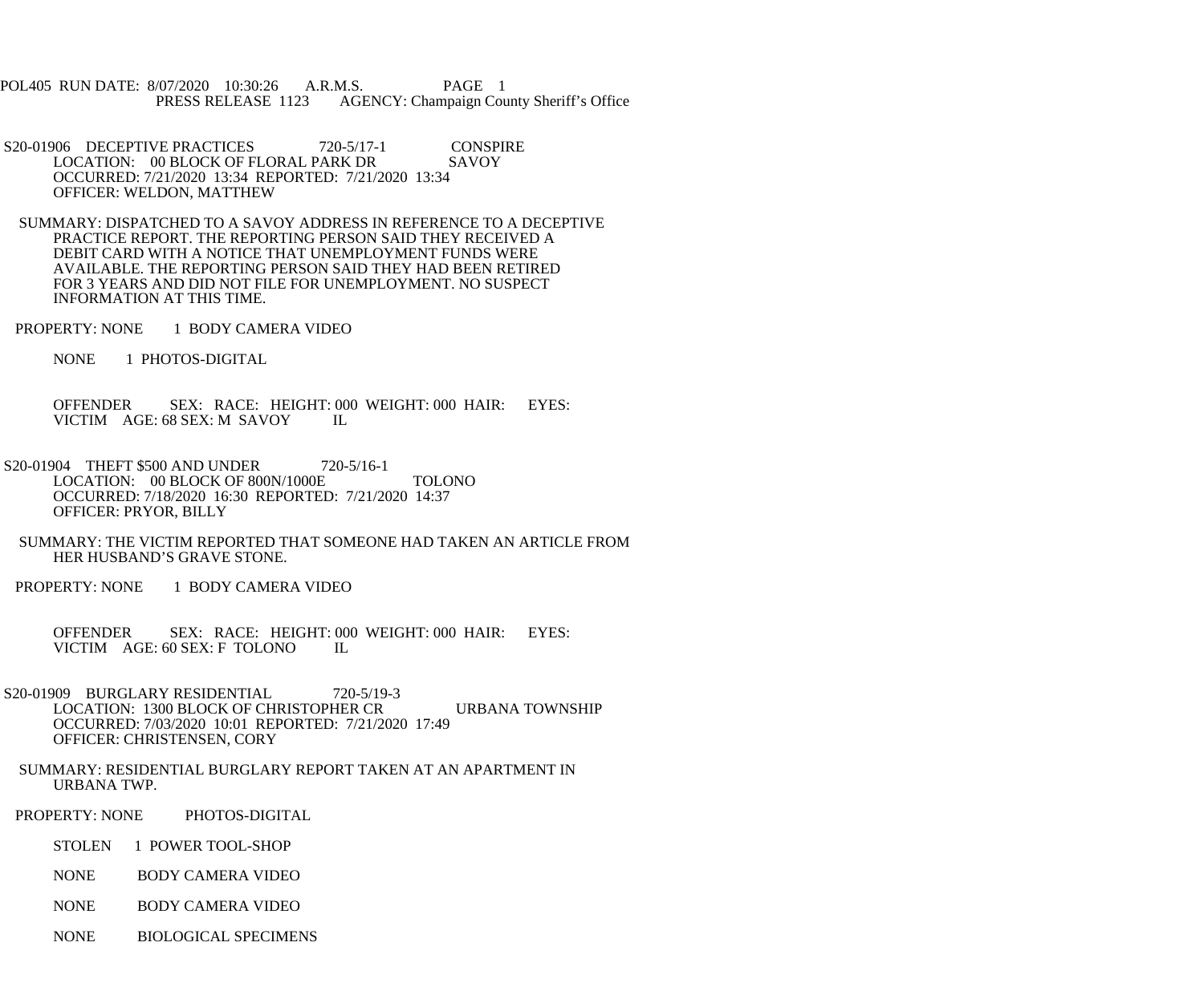POL405 RUN DATE: 8/07/2020 10:30:26 A.R.M.S. PAGE 1<br>PRESS RELEASE 1123 AGENCY: Champaign Cou AGENCY: Champaign County Sheriff's Office

S20-01906 DECEPTIVE PRACTICES 720-5/17-1 CONSPIRE<br>LOCATION: 00 BLOCK OF FLORAL PARK DR SAVOY LOCATION: 00 BLOCK OF FLORAL PARK DR OCCURRED: 7/21/2020 13:34 REPORTED: 7/21/2020 13:34 OFFICER: WELDON, MATTHEW

 SUMMARY: DISPATCHED TO A SAVOY ADDRESS IN REFERENCE TO A DECEPTIVE PRACTICE REPORT. THE REPORTING PERSON SAID THEY RECEIVED A DEBIT CARD WITH A NOTICE THAT UNEMPLOYMENT FUNDS WERE AVAILABLE. THE REPORTING PERSON SAID THEY HAD BEEN RETIRED FOR 3 YEARS AND DID NOT FILE FOR UNEMPLOYMENT. NO SUSPECT INFORMATION AT THIS TIME.

PROPERTY: NONE 1 BODY CAMERA VIDEO

NONE 1 PHOTOS-DIGITAL

 OFFENDER SEX: RACE: HEIGHT: 000 WEIGHT: 000 HAIR: EYES: VICTIM AGE: 68 SEX: M SAVOY IL

- S20-01904 THEFT \$500 AND UNDER 720-5/16-1 LOCATION: 00 BLOCK OF 800N/1000E TOLONO OCCURRED: 7/18/2020 16:30 REPORTED: 7/21/2020 14:37 OFFICER: PRYOR, BILLY
- SUMMARY: THE VICTIM REPORTED THAT SOMEONE HAD TAKEN AN ARTICLE FROM HER HUSBAND'S GRAVE STONE.
- PROPERTY: NONE 1 BODY CAMERA VIDEO

OFFENDER SEX: RACE: HEIGHT: 000 WEIGHT: 000 HAIR: EYES:<br>VICTIM AGE: 60 SEX: F TOLONO IL VICTIM AGE: 60 SEX: F TOLONO

S20-01909 BURGLARY RESIDENTIAL 720-5/19-3 LOCATION: 1300 BLOCK OF CHRISTOPHER CR URBANA TOWNSHIP OCCURRED: 7/03/2020 10:01 REPORTED: 7/21/2020 17:49 OFFICER: CHRISTENSEN, CORY

 SUMMARY: RESIDENTIAL BURGLARY REPORT TAKEN AT AN APARTMENT IN URBANA TWP.

PROPERTY: NONE PHOTOS-DIGITAL

STOLEN 1 POWER TOOL-SHOP

NONE BODY CAMERA VIDEO

NONE BODY CAMERA VIDEO

NONE BIOLOGICAL SPECIMENS